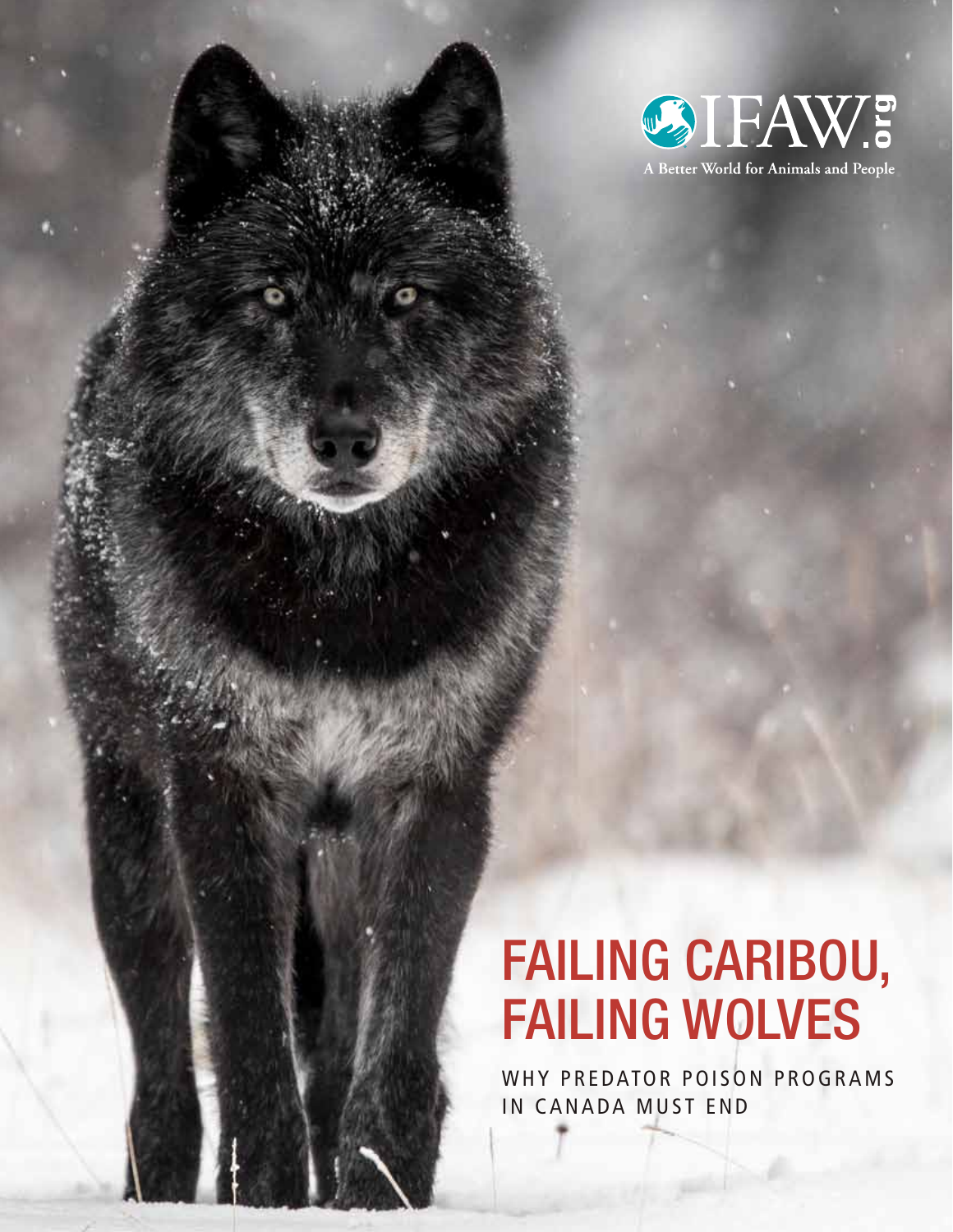

### Failing Caribou, Failing Wolves

WHY PREDATOR POISON PROGRAMS IN CANADA MUST END

FAILING CARIBOU, FAILING WOLVES 1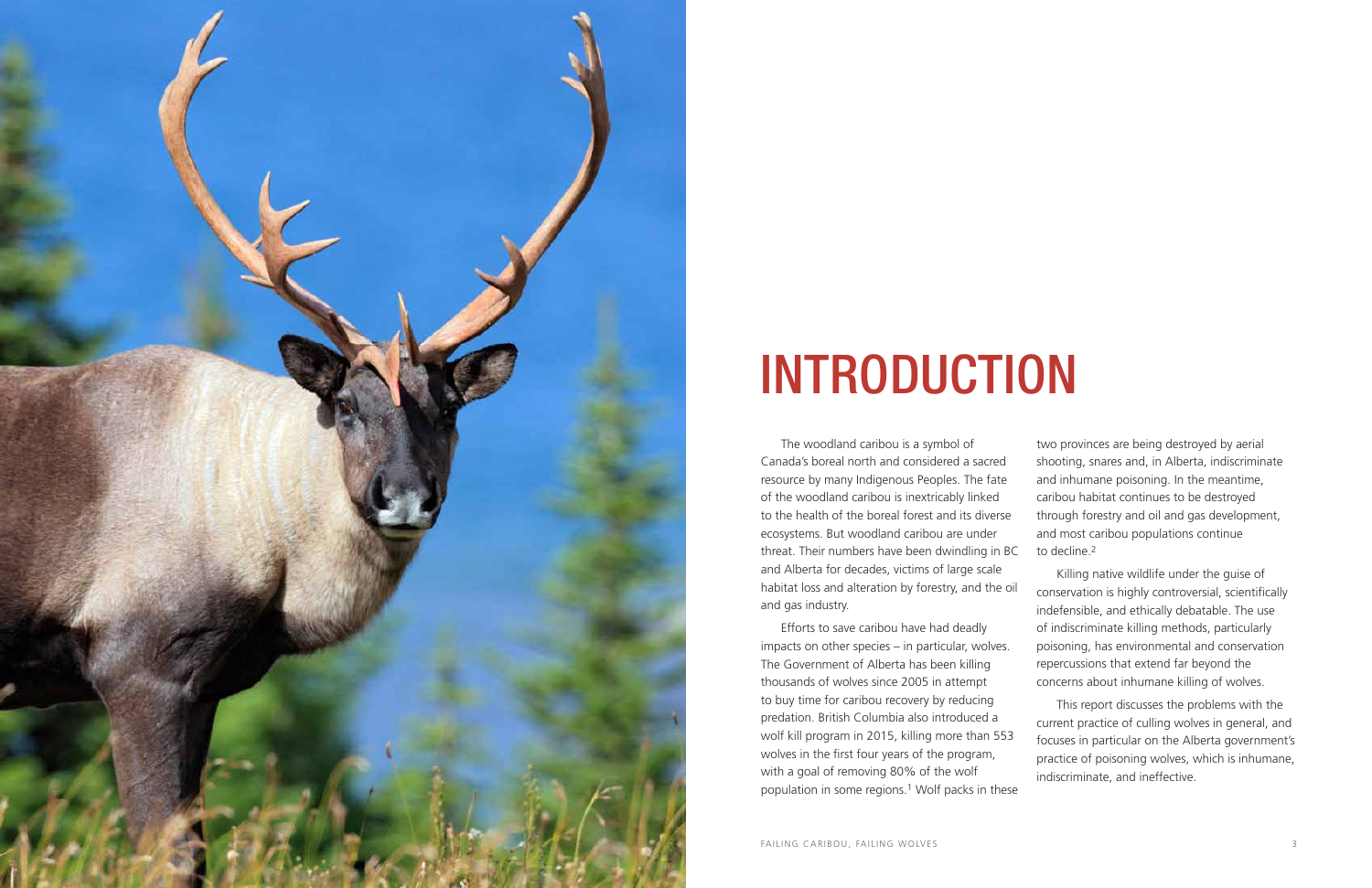

## **INTRODUCTION**

The woodland caribou is a symbol of Canada's boreal north and considered a sacred resource by many Indigenous Peoples. The fate of the woodland caribou is inextricably linked to the health of the boreal forest and its diverse ecosystems. But woodland caribou are under threat. Their numbers have been dwindling in BC and Alberta for decades, victims of large scale habitat loss and alteration by forestry, and the oil and gas industry.

two provinces are being destroyed by aerial shooting, snares and, in Alberta, indiscriminate and inhumane poisoning. In the meantime, caribou habitat continues to be destroyed through forestry and oil and gas development, and most caribou populations continue to decline.2

Efforts to save caribou have had deadly impacts on other species – in particular, wolves. The Government of Alberta has been killing thousands of wolves since 2005 in attempt to buy time for caribou recovery by reducing predation. British Columbia also introduced a wolf kill program in 2015, killing more than 553 wolves in the first four years of the program, with a goal of removing 80% of the wolf population in some regions.1 Wolf packs in these poisoning, has environmental and conservation repercussions that extend far beyond the concerns about inhumane killing of wolves. This report discusses the problems with the current practice of culling wolves in general, and focuses in particular on the Alberta government's practice of poisoning wolves, which is inhumane, indiscriminate, and ineffective.

Killing native wildlife under the guise of conservation is highly controversial, scientifically indefensible, and ethically debatable. The use of indiscriminate killing methods, particularly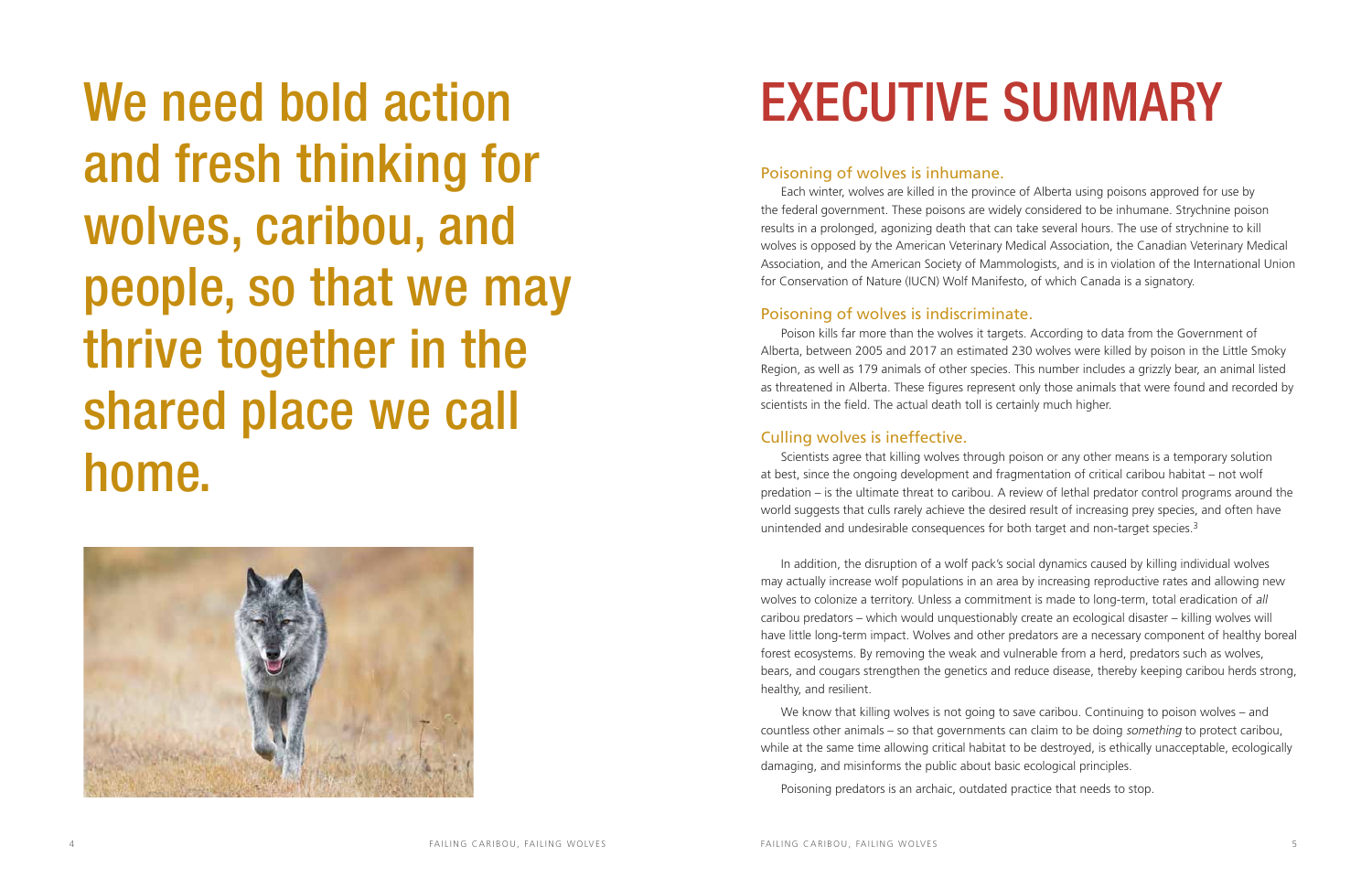We need bold action and fresh thinking for wolves, caribou, and people, so that we may thrive together in the shared place we call home.



# **EXECUTIVE SUMMARY**

In addition, the disruption of a wolf pack's social dynamics caused by killing individual wolves may actually increase wolf populations in an area by increasing reproductive rates and allowing new wolves to colonize a territory. Unless a commitment is made to long-term, total eradication of all caribou predators – which would unquestionably create an ecological disaster – killing wolves will have little long-term impact. Wolves and other predators are a necessary component of healthy boreal forest ecosystems. By removing the weak and vulnerable from a herd, predators such as wolves, bears, and cougars strengthen the genetics and reduce disease, thereby keeping caribou herds strong, healthy, and resilient.

We know that killing wolves is not going to save caribou. Continuing to poison wolves – and countless other animals – so that governments can claim to be doing something to protect caribou, while at the same time allowing critical habitat to be destroyed, is ethically unacceptable, ecologically damaging, and misinforms the public about basic ecological principles.

Poisoning predators is an archaic, outdated practice that needs to stop.

#### Poisoning of wolves is inhumane.

Each winter, wolves are killed in the province of Alberta using poisons approved for use by the federal government. These poisons are widely considered to be inhumane. Strychnine poison results in a prolonged, agonizing death that can take several hours. The use of strychnine to kill wolves is opposed by the American Veterinary Medical Association, the Canadian Veterinary Medical Association, and the American Society of Mammologists, and is in violation of the International Union for Conservation of Nature (IUCN) Wolf Manifesto, of which Canada is a signatory.

### Poisoning of wolves is indiscriminate.

Poison kills far more than the wolves it targets. According to data from the Government of Alberta, between 2005 and 2017 an estimated 230 wolves were killed by poison in the Little Smoky Region, as well as 179 animals of other species. This number includes a grizzly bear, an animal listed as threatened in Alberta. These figures represent only those animals that were found and recorded by scientists in the field. The actual death toll is certainly much higher.

### Culling wolves is ineffective.

Scientists agree that killing wolves through poison or any other means is a temporary solution at best, since the ongoing development and fragmentation of critical caribou habitat – not wolf predation – is the ultimate threat to caribou. A review of lethal predator control programs around the world suggests that culls rarely achieve the desired result of increasing prey species, and often have unintended and undesirable consequences for both target and non-target species.3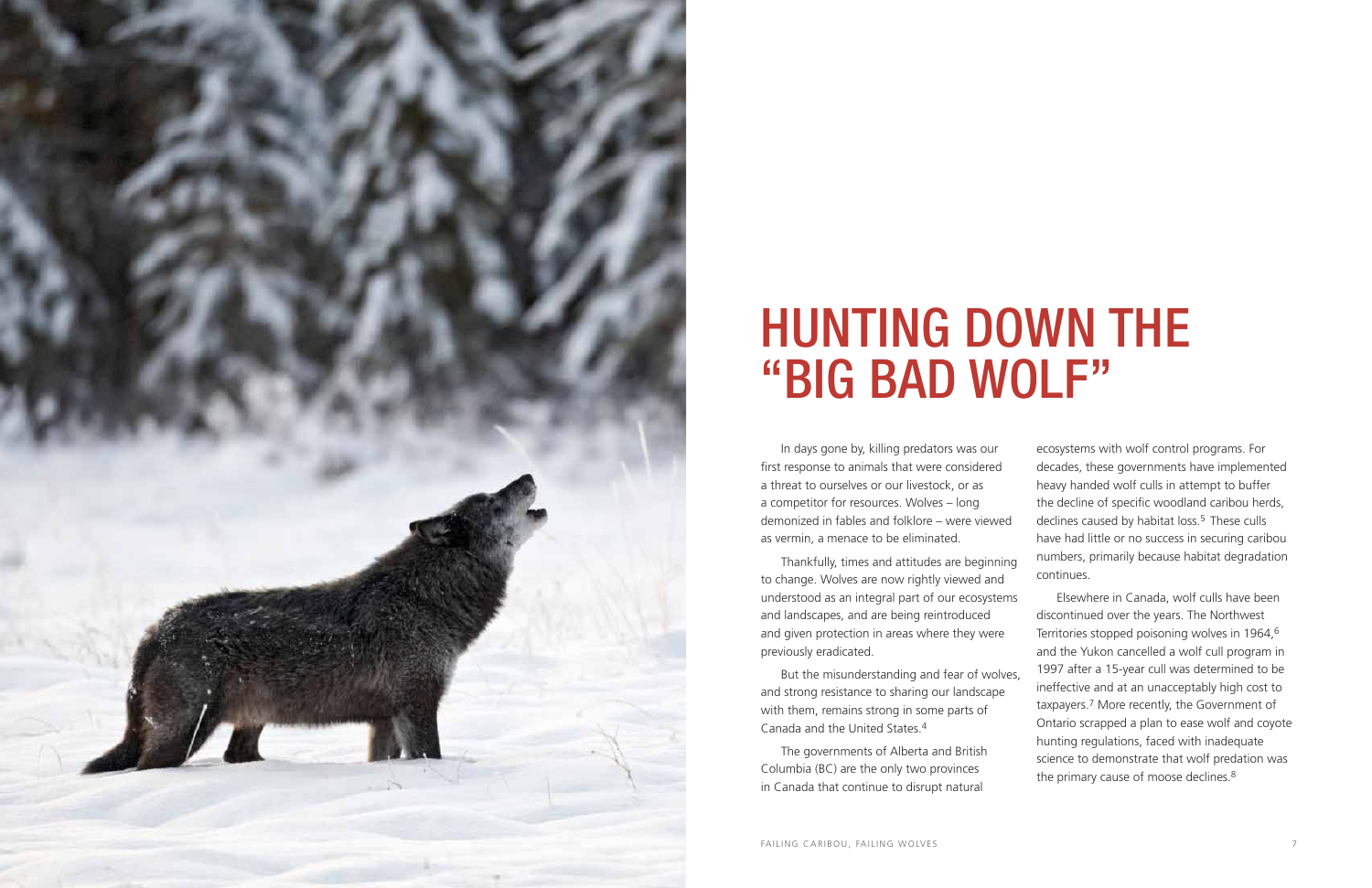

## HUNTING DOWN THE "BIG BAD WOLF"

7

Thankfully, times and attitudes are beginning to change. Wolves are now rightly viewed and understood as an integral part of our ecosystems and landscapes, and are being reintroduced and given protection in areas where they were previously eradicated. But the misunderstanding and fear of wolves, and strong resistance to sharing our landscape with them, remains strong in some parts of Canada and the United States. 4 The governments of Alberta and British Columbia (BC) are the only two provinces continues. Elsewhere in Canada, wolf culls have been discontinued over the years. The Northwest Territories stopped poisoning wolves in 1964, 6 and the Yukon cancelled a wolf cull program in 1997 after a 15-year cull was determined to be ineffective and at an unacceptably high cost to taxpayers. 7 More recently, the Government of Ontario scrapped a plan to ease wolf and coyote hunting regulations, faced with inadequate science to demonstrate that wolf predation was the primary cause of moose declines.<sup>8</sup>

In days gone by, killing predators was our first response to animals that were considered a threat to ourselves or our livestock, or as a competitor for resources. Wolves – long demonized in fables and folklore – were viewed as vermin, a menace to be eliminated.

in Canada that continue to disrupt natural

ecosystems with wolf control programs. For decades, these governments have implemented heavy handed wolf culls in attempt to buffer the decline of specific woodland caribou herds, declines caused by habitat loss.<sup>5</sup> These culls have had little or no success in securing caribou numbers, primarily because habitat degradation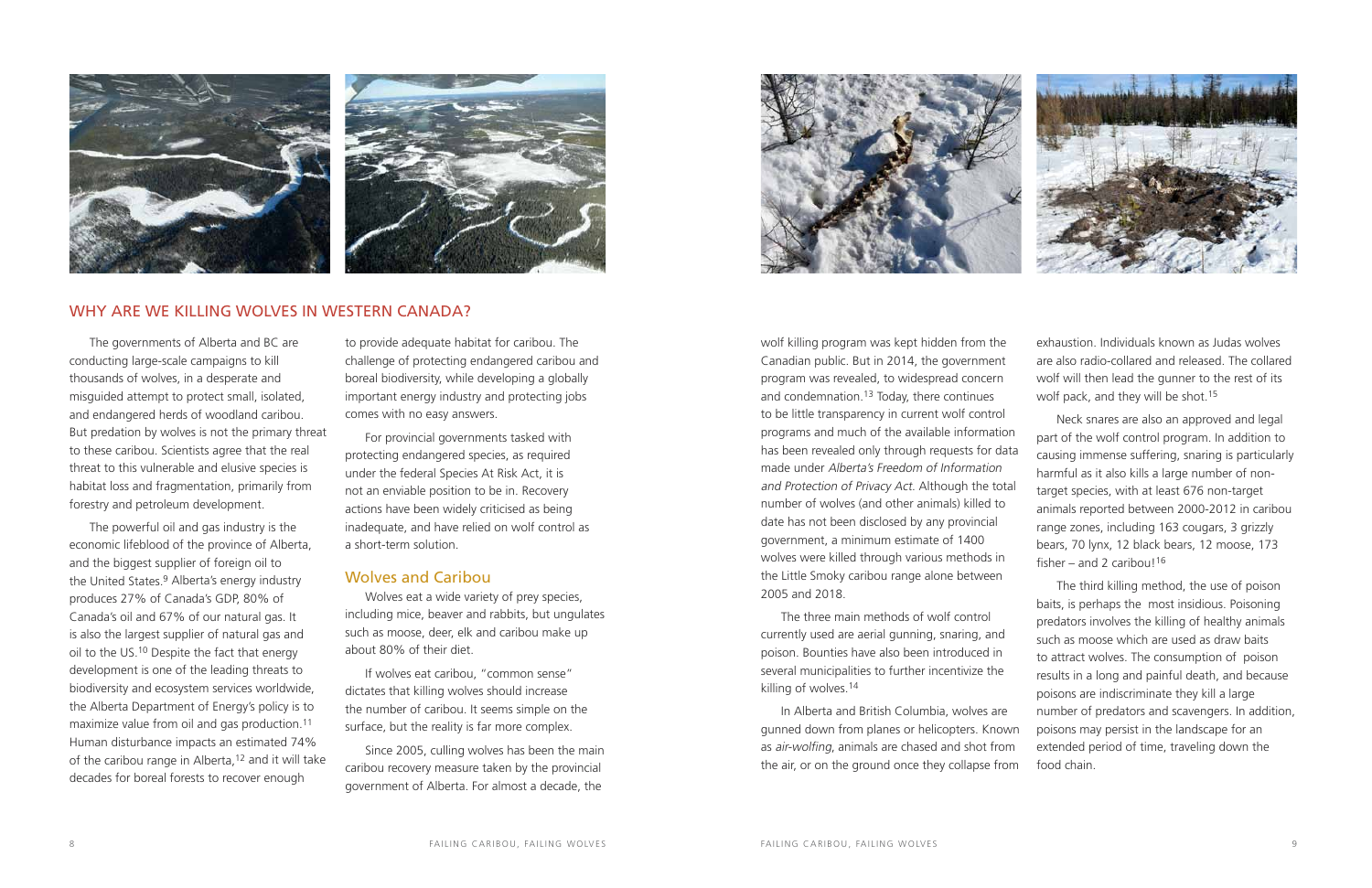The three main methods of wolf control currently used are aerial gunning, snaring, and poison. Bounties have also been introduced in several municipalities to further incentivize the killing of wolves.14

wolf killing program was kept hidden from the Canadian public. But in 2014, the government program was revealed, to widespread concern and condemnation.<sup>13</sup> Today, there continues to be little transparency in current wolf control programs and much of the available information has been revealed only through requests for data made under Alberta's Freedom of Information and Protection of Privacy Act. Although the total number of wolves (and other animals) killed to date has not been disclosed by any provincial government, a minimum estimate of 1400 wolves were killed through various methods in the Little Smoky caribou range alone between 2005 and 2018. are also radio-collared and released. The collared wolf will then lead the gunner to the rest of its wolf pack, and they will be shot.15 Neck snares are also an approved and legal part of the wolf control program. In addition to causing immense suffering, snaring is particularly harmful as it also kills a large number of nontarget species, with at least 676 non-target animals reported between 2000-2012 in caribou range zones, including 163 cougars, 3 grizzly bears, 70 lynx, 12 black bears, 12 moose, 173 fisher – and 2 caribou!<sup>16</sup> The third killing method, the use of poison

In Alberta and British Columbia, wolves are gunned down from planes or helicopters. Known as air-wolfing, animals are chased and shot from the air, or on the ground once they collapse from



exhaustion. Individuals known as Judas wolves

baits, is perhaps the most insidious. Poisoning predators involves the killing of healthy animals such as moose which are used as draw baits to attract wolves. The consumption of poison results in a long and painful death, and because poisons are indiscriminate they kill a large number of predators and scavengers. In addition, poisons may persist in the landscape for an extended period of time, traveling down the food chain.

The governments of Alberta and BC are conducting large-scale campaigns to kill thousands of wolves, in a desperate and misguided attempt to protect small, isolated, and endangered herds of woodland caribou. But predation by wolves is not the primary threat to these caribou. Scientists agree that the real threat to this vulnerable and elusive species is habitat loss and fragmentation, primarily from forestry and petroleum development.

The powerful oil and gas industry is the economic lifeblood of the province of Alberta, and the biggest supplier of foreign oil to the United States.<sup>9</sup> Alberta's energy industry produces 27% of Canada's GDP, 80% of Canada's oil and 67% of our natural gas. It is also the largest supplier of natural gas and oil to the US.10 Despite the fact that energy development is one of the leading threats to biodiversity and ecosystem services worldwide, the Alberta Department of Energy's policy is to maximize value from oil and gas production.11 Human disturbance impacts an estimated 74% of the caribou range in Alberta,12 and it will take decades for boreal forests to recover enough

to provide adequate habitat for caribou. The challenge of protecting endangered caribou and boreal biodiversity, while developing a globally important energy industry and protecting jobs comes with no easy answers.

For provincial governments tasked with protecting endangered species, as required under the federal Species At Risk Act, it is not an enviable position to be in. Recovery actions have been widely criticised as being inadequate, and have relied on wolf control as a short-term solution.

#### Wolves and Caribou

Wolves eat a wide variety of prey species, including mice, beaver and rabbits, but ungulates such as moose, deer, elk and caribou make up about 80% of their diet.

If wolves eat caribou, "common sense" dictates that killing wolves should increase the number of caribou. It seems simple on the surface, but the reality is far more complex.

Since 2005, culling wolves has been the main caribou recovery measure taken by the provincial government of Alberta. For almost a decade, the





#### WHY ARE WE KILLING WOLVES IN WESTERN CANADA?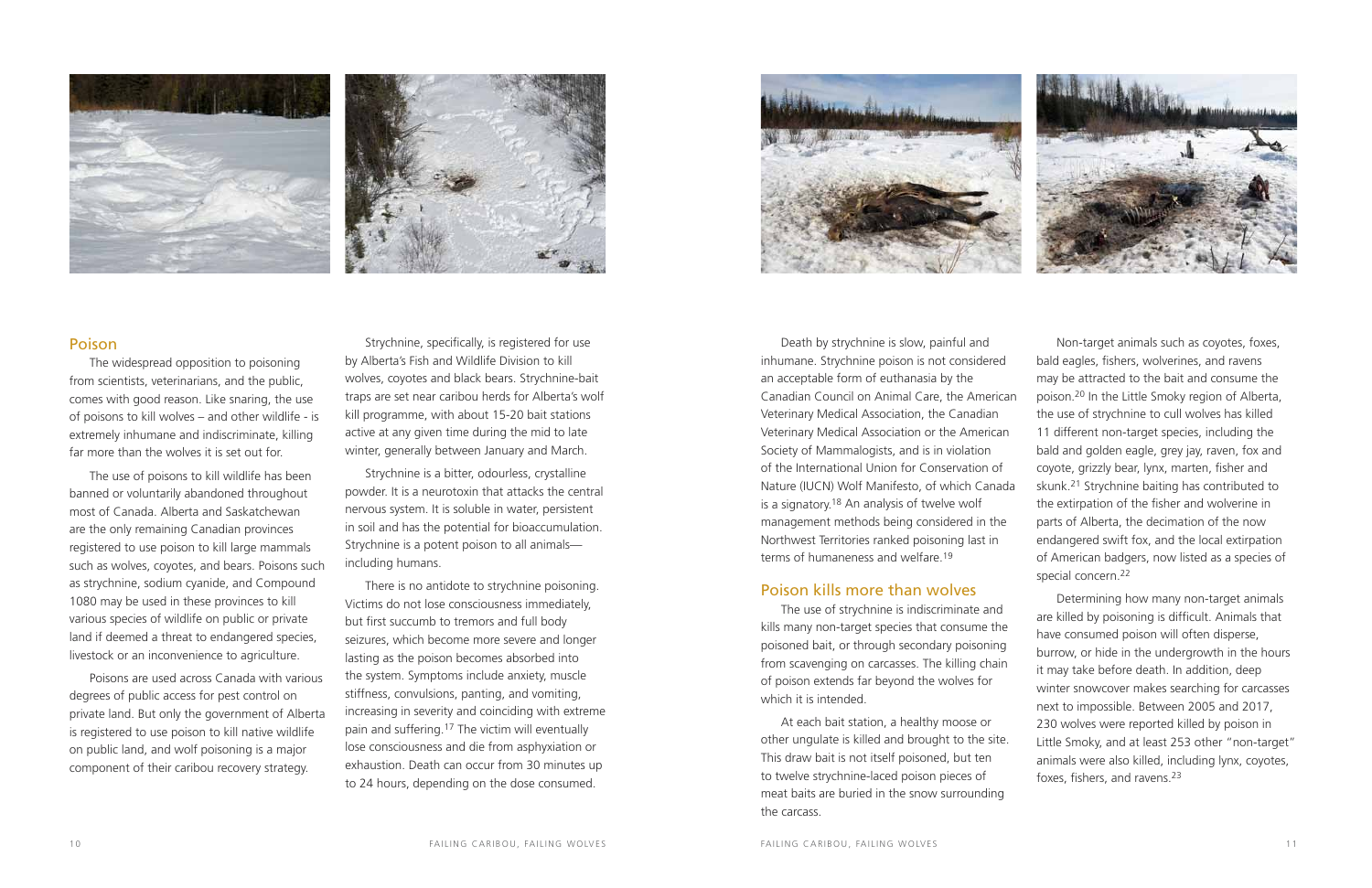Death by strychnine is slow, painful and inhumane. Strychnine poison is not considered an acceptable form of euthanasia by the Canadian Council on Animal Care, the American Veterinary Medical Association, the Canadian Veterinary Medical Association or the American Society of Mammalogists, and is in violation of the International Union for Conservation of Nature (IUCN) Wolf Manifesto, of which Canada is a signatory.18 An analysis of twelve wolf management methods being considered in the Northwest Territories ranked poisoning last in terms of humaneness and welfare.19

Non-target animals such as coyotes, foxes, bald eagles, fishers, wolverines, and ravens may be attracted to the bait and consume the poison.20 In the Little Smoky region of Alberta, the use of strychnine to cull wolves has killed 11 different non-target species, including the bald and golden eagle, grey jay, raven, fox and coyote, grizzly bear, lynx, marten, fisher and skunk.21 Strychnine baiting has contributed to the extirpation of the fisher and wolverine in parts of Alberta, the decimation of the now endangered swift fox, and the local extirpation of American badgers, now listed as a species of special concern.<sup>22</sup>

#### Poison kills more than wolves

The use of strychnine is indiscriminate and kills many non-target species that consume the poisoned bait, or through secondary poisoning from scavenging on carcasses. The killing chain of poison extends far beyond the wolves for which it is intended.

At each bait station, a healthy moose or other ungulate is killed and brought to the site. This draw bait is not itself poisoned, but ten to twelve strychnine-laced poison pieces of meat baits are buried in the snow surrounding the carcass.



Determining how many non-target animals are killed by poisoning is difficult. Animals that have consumed poison will often disperse, burrow, or hide in the undergrowth in the hours it may take before death. In addition, deep winter snowcover makes searching for carcasses next to impossible. Between 2005 and 2017, 230 wolves were reported killed by poison in Little Smoky, and at least 253 other "non-target" animals were also killed, including lynx, coyotes, foxes, fishers, and ravens.23





#### Poison

The widespread opposition to poisoning from scientists, veterinarians, and the public, comes with good reason. Like snaring, the use of poisons to kill wolves – and other wildlife - is extremely inhumane and indiscriminate, killing far more than the wolves it is set out for.

The use of poisons to kill wildlife has been banned or voluntarily abandoned throughout most of Canada. Alberta and Saskatchewan are the only remaining Canadian provinces registered to use poison to kill large mammals such as wolves, coyotes, and bears. Poisons such as strychnine, sodium cyanide, and Compound 1080 may be used in these provinces to kill various species of wildlife on public or private land if deemed a threat to endangered species, livestock or an inconvenience to agriculture.

Poisons are used across Canada with various degrees of public access for pest control on private land. But only the government of Alberta is registered to use poison to kill native wildlife on public land, and wolf poisoning is a major component of their caribou recovery strategy.

Strychnine, specifically, is registered for use by Alberta's Fish and Wildlife Division to kill wolves, coyotes and black bears. Strychnine-bait traps are set near caribou herds for Alberta's wolf kill programme, with about 15-20 bait stations active at any given time during the mid to late winter, generally between January and March.

Strychnine is a bitter, odourless, crystalline powder. It is a neurotoxin that attacks the central nervous system. It is soluble in water, persistent in soil and has the potential for bioaccumulation. Strychnine is a potent poison to all animals including humans.

There is no antidote to strychnine poisoning. Victims do not lose consciousness immediately, but first succumb to tremors and full body seizures, which become more severe and longer lasting as the poison becomes absorbed into the system. Symptoms include anxiety, muscle stiffness, convulsions, panting, and vomiting, increasing in severity and coinciding with extreme pain and suffering.17 The victim will eventually lose consciousness and die from asphyxiation or exhaustion. Death can occur from 30 minutes up to 24 hours, depending on the dose consumed.

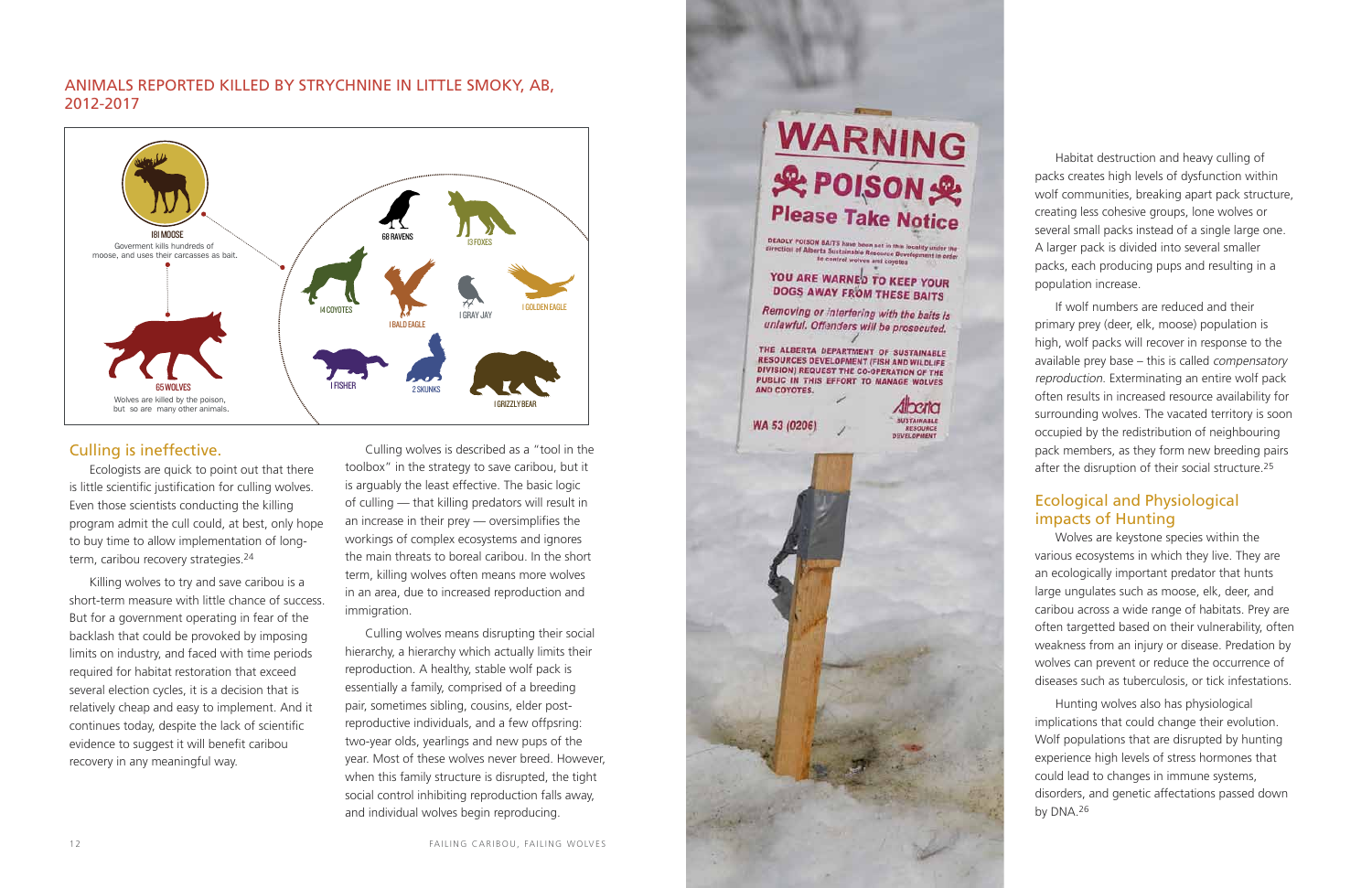Habitat destruction and heavy culling of packs creates high levels of dysfunction within wolf communities, breaking apart pack structure, creating less cohesive groups, lone wolves or several small packs instead of a single large one. A larger pack is divided into several smaller packs, each producing pups and resulting in a population increase.

If wolf numbers are reduced and their primary prey (deer, elk, moose) population is high, wolf packs will recover in response to the available prey base – this is called compensatory reproduction. Exterminating an entire wolf pack often results in increased resource availability for surrounding wolves. The vacated territory is soon occupied by the redistribution of neighbouring pack members, as they form new breeding pairs after the disruption of their social structure.25

Ecologists are quick to point out that there is little scientific justification for culling wolves. Even those scientists conducting the killing program admit the cull could, at best, only hope to buy time to allow implementation of longterm, caribou recovery strategies.<sup>24</sup>

### Ecological and Physiological impacts of Hunting

Wolves are keystone species within the various ecosystems in which they live. They are an ecologically important predator that hunts large ungulates such as moose, elk, deer, and caribou across a wide range of habitats. Prey are often targetted based on their vulnerability, often weakness from an injury or disease. Predation by wolves can prevent or reduce the occurrence of diseases such as tuberculosis, or tick infestations.

Hunting wolves also has physiological implications that could change their evolution. Wolf populations that are disrupted by hunting experience high levels of stress hormones that could lead to changes in immune systems, disorders, and genetic affectations passed down by DNA.26

#### Culling is ineffective.

Killing wolves to try and save caribou is a short-term measure with little chance of success. But for a government operating in fear of the backlash that could be provoked by imposing limits on industry, and faced with time periods required for habitat restoration that exceed several election cycles, it is a decision that is relatively cheap and easy to implement. And it continues today, despite the lack of scientific evidence to suggest it will benefit caribou recovery in any meaningful way.

Culling wolves is described as a "tool in the toolbox" in the strategy to save caribou, but it is arguably the least effective. The basic logic of culling — that killing predators will result in an increase in their prey — oversimplifies the workings of complex ecosystems and ignores the main threats to boreal caribou. In the short term, killing wolves often means more wolves in an area, due to increased reproduction and immigration.

Culling wolves means disrupting their social hierarchy, a hierarchy which actually limits their reproduction. A healthy, stable wolf pack is essentially a family, comprised of a breeding pair, sometimes sibling, cousins, elder postreproductive individuals, and a few offpsring: two-year olds, yearlings and new pups of the year. Most of these wolves never breed. However, when this family structure is disrupted, the tight social control inhibiting reproduction falls away, and individual wolves begin reproducing.

### **WARNING** & POISON& **Please Take Notice DEADLY POISON BAITS have been set in this locality under the** Grection of Alberta Sustainable Resource Development is order<br>for control website Resource Development is order<br>for control webves and to control wolves and coyotes YOU ARE WARNED TO KEEP YOUR DOGS AWAY FROM THESE BAITS Removing or interfering with the baits is unlawful. Offenders will be prosecuted. THE ALBERTA DEPARTMENT OF SUSTAINABLE **RESOURCES DEVELOPMENT (FISH AND WILDLIFE** DIVISION) REQUEST THE CO-OPERATION OF THE PUBLIC IN THIS EFFORT TO MANAGE WOLVES AND COYOTES. diberta **SUSTAINABLE** WA 53 (0206) **RESOURCE** *DEVELOPMENT*



#### Ani mals reported killed b y strychnine in Little Smoky, A B, 2012-2017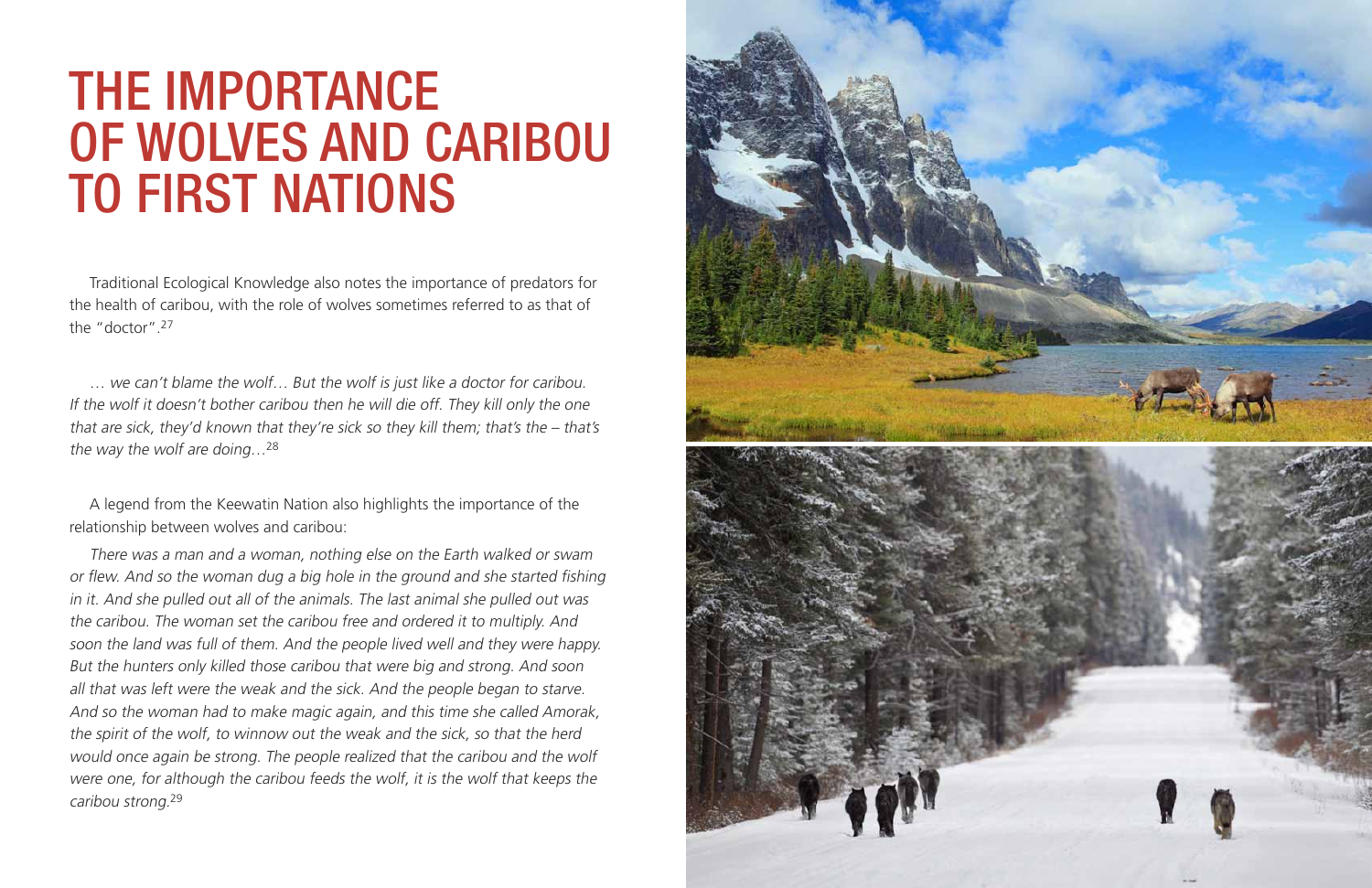Traditional Ecological Knowledge also notes the importance of predators for the health of caribou, with the role of wolves sometimes referred to as that of the "doctor".27

… we can't blame the wolf… But the wolf is just like a doctor for caribou. If the wolf it doesn't bother caribou then he will die off. They kill only the one that are sick, they'd known that they're sick so they kill them; that's the – that's the way the wolf are doing…<sup>28</sup>

A legend from the Keewatin Nation also highlights the importance of the relationship between wolves and caribou:

## The Importance of wolves and Caribou **TO FIRST NATIONS**

There was a man and a woman, nothing else on the Earth walked or swam or flew. And so the woman dug a big hole in the ground and she started fishing in it. And she pulled out all of the animals. The last animal she pulled out was the caribou. The woman set the caribou free and ordered it to multiply. And soon the land was full of them. And the people lived well and they were happy. But the hunters only killed those caribou that were big and strong. And soon all that was left were the weak and the sick. And the people began to starve. And so the woman had to make magic again, and this time she called Amorak, the spirit of the wolf, to winnow out the weak and the sick, so that the herd would once again be strong. The people realized that the caribou and the wolf were one, for although the caribou feeds the wolf, it is the wolf that keeps the caribou strong.<sup>29</sup>

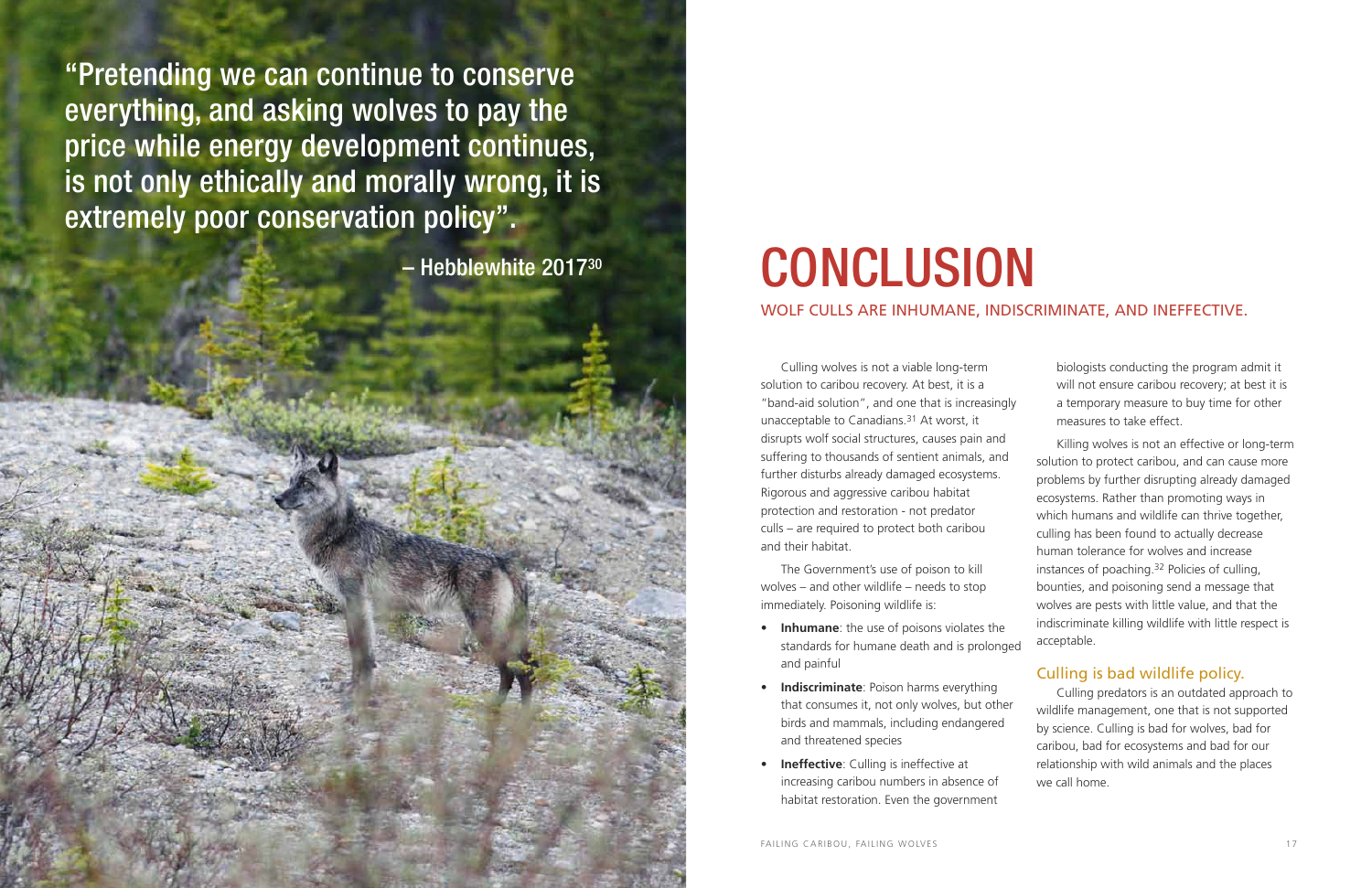Culling wolves is not a viable long-term solution to caribou recovery. At best, it is a "band-aid solution", and one that is increasingly unacceptable to Canadians.31 At worst, it disrupts wolf social structures, causes pain and suffering to thousands of sentient animals, and further disturbs already damaged ecosystems. Rigorous and aggressive caribou habitat protection and restoration - not predator culls – are required to protect both caribou and their habitat.

- **Inhumane**: the use of poisons violates the standards for humane death and is prolonged and painful
- **Indiscriminate**: Poison harms everything that consumes it, not only wolves, but other birds and mammals, including endangered and threatened species
- • **Ineffective**: Culling is ineffective at increasing caribou numbers in absence of habitat restoration. Even the government

The Government's use of poison to kill wolves – and other wildlife – needs to stop immediately. Poisoning wildlife is:

biologists conducting the program admit it will not ensure caribou recovery; at best it is a temporary measure to buy time for other measures to take effect.

Killing wolves is not an effective or long-term solution to protect caribou, and can cause more problems by further disrupting already damaged ecosystems. Rather than promoting ways in which humans and wildlife can thrive together, culling has been found to actually decrease human tolerance for wolves and increase instances of poaching.32 Policies of culling, bounties, and poisoning send a message that wolves are pests with little value, and that the indiscriminate killing wildlife with little respect is acceptable.

### Culling is bad wildlife policy.

Culling predators is an outdated approach to wildlife management, one that is not supported by science. Culling is bad for wolves, bad for caribou, bad for ecosystems and bad for our relationship with wild animals and the places we call home.

Wolf culls are inhumane, indiscriminate, and ineffective.

"Pretending we can continue to conserve everything, and asking wolves to pay the price while energy development continues, is not only ethically and morally wrong, it is extremely poor conservation policy".

Hebblewhite 2017<sup>30</sup>

# **CONCLUSION**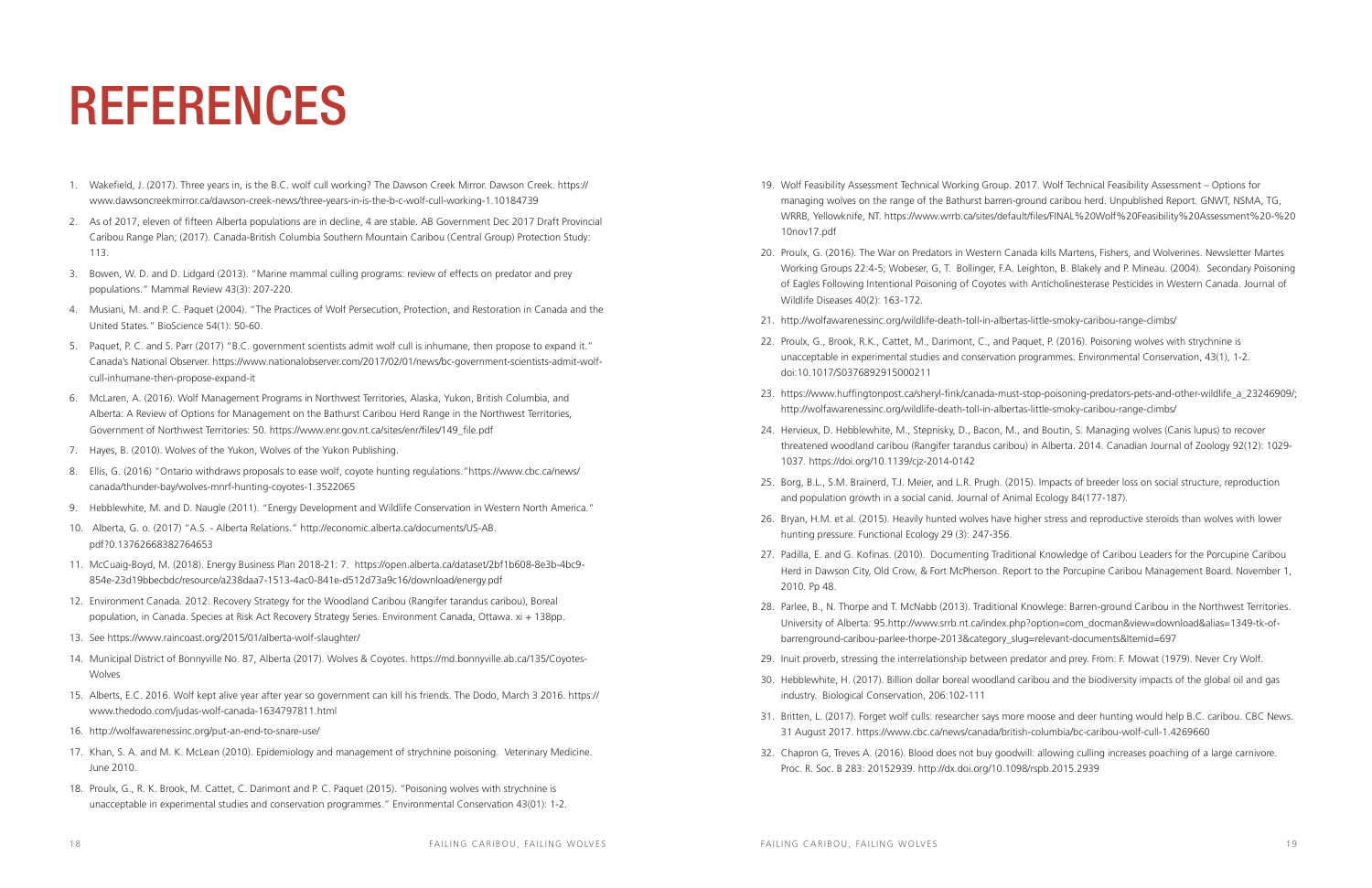- 1. Wakefield, J. (2017). Three years in, is the B.C. wolf cull working? The Dawson Creek Mirror. Dawson Creek. https:// www.dawsoncreekmirror.ca/dawson-creek-news/three-years-in-is-the-b-c-wolf-cull-working-1.10184739
- 2. As of 2017, eleven of fifteen Alberta populations are in decline, 4 are stable. AB Government Dec 2017 Draft Provincial Caribou Range Plan; (2017). Canada-British Columbia Southern Mountain Caribou (Central Group) Protection Study: 113.
- 3. Bowen, W. D. and D. Lidgard (2013). "Marine mammal culling programs: review of effects on predator and prey populations." Mammal Review 43(3): 207-220.
- 4. Musiani, M. and P. C. Paquet (2004). "The Practices of Wolf Persecution, Protection, and Restoration in Canada and the United States." BioScience 54(1): 50-60.
- 5. Paquet, P. C. and S. Parr (2017) "B.C. government scientists admit wolf cull is inhumane, then propose to expand it." Canada's National Observer. https://www.nationalobserver.com/2017/02/01/news/bc-government-scientists-admit-wolfcull-inhumane-then-propose-expand-it
- 6. McLaren, A. (2016). Wolf Management Programs in Northwest Territories, Alaska, Yukon, British Columbia, and Alberta: A Review of Options for Management on the Bathurst Caribou Herd Range in the Northwest Territories, Government of Northwest Territories: 50. https://www.enr.gov.nt.ca/sites/enr/files/149\_file.pdf
- 7. Hayes, B. (2010). Wolves of the Yukon, Wolves of the Yukon Publishing.
- 8. Ellis, G. (2016) "Ontario withdraws proposals to ease wolf, coyote hunting regulations."https://www.cbc.ca/news/ canada/thunder-bay/wolves-mnrf-hunting-coyotes-1.3522065
- 9. Hebblewhite, M. and D. Naugle (2011). "Energy Development and Wildlife Conservation in Western North America."
- 10. Alberta, G. o. (2017) "A.S. Alberta Relations." http://economic.alberta.ca/documents/US-AB. pdf?0.13762668382764653
- 11. McCuaig-Boyd, M. (2018). Energy Business Plan 2018-21: 7. https://open.alberta.ca/dataset/2bf1b608-8e3b-4bc9- 854e-23d19bbecbdc/resource/a238daa7-1513-4ac0-841e-d512d73a9c16/download/energy.pdf
- 12. Environment Canada. 2012. Recovery Strategy for the Woodland Caribou (Rangifer tarandus caribou), Boreal population, in Canada. Species at Risk Act Recovery Strategy Series. Environment Canada, Ottawa. xi + 138pp.
- 13. See https://www.raincoast.org/2015/01/alberta-wolf-slaughter/
- 14. Municipal District of Bonnyville No. 87, Alberta (2017). Wolves & Coyotes. https://md.bonnyville.ab.ca/135/Coyotes-Wolves
- 15. Alberts, E.C. 2016. Wolf kept alive year after year so government can kill his friends. The Dodo, March 3 2016. https:// www.thedodo.com/judas-wolf-canada-1634797811.html
- 16. http://wolfawarenessinc.org/put-an-end-to-snare-use/
- 17. Khan, S. A. and M. K. McLean (2010). Epidemiology and management of strychnine poisoning. Veterinary Medicine. June 2010.
- 18. Proulx, G., R. K. Brook, M. Cattet, C. Darimont and P. C. Paquet (2015). "Poisoning wolves with strychnine is unacceptable in experimental studies and conservation programmes." Environmental Conservation 43(01): 1-2.

19. Wolf Feasibility Assessment Technical Working Group. 2017. Wolf Technical Feasibility Assessment – Options for managing wolves on the range of the Bathurst barren-ground caribou herd. Unpublished Report. GNWT, NSMA, TG, WRRB, Yellowknife, NT. https://www.wrrb.ca/sites/default/files/FINAL%20Wolf%20Feasibility%20Assessment%20-%20

20. Proulx, G. (2016). The War on Predators in Western Canada kills Martens, Fishers, and Wolverines. Newsletter Martes Working Groups 22:4-5; Wobeser, G, T. Bollinger, F.A. Leighton, B. Blakely and P. Mineau. (2004). Secondary Poisoning of Eagles Following Intentional Poisoning of Coyotes with Anticholinesterase Pesticides in Western Canada. Journal of

22. Proulx, G., Brook, R.K., Cattet, M., Darimont, C., and Paquet, P. (2016). Poisoning wolves with strychnine is unacceptable in experimental studies and conservation programmes. Environmental Conservation, 43(1), 1-2.

23. https://www.huffingtonpost.ca/sheryl-fink/canada-must-stop-poisoning-predators-pets-and-other-wildlife\_a\_23246909/;

24. Hervieux, D. Hebblewhite, M., Stepnisky, D., Bacon, M., and Boutin, S. Managing wolves (Canis lupus) to recover threatened woodland caribou (Rangifer tarandus caribou) in Alberta. 2014. Canadian Journal of Zoology 92(12): 1029-

25. Borg, B.L., S.M. Brainerd, T.J. Meier, and L.R. Prugh. (2015). Impacts of breeder loss on social structure, reproduction

- 10nov17.pdf
- Wildlife Diseases 40(2): 163-172.
- 21. http://wolfawarenessinc.org/wildlife-death-toll-in-albertas-little-smoky-caribou-range-climbs/
- doi:10.1017/S0376892915000211
- http://wolfawarenessinc.org/wildlife-death-toll-in-albertas-little-smoky-caribou-range-climbs/
- 1037. https://doi.org/10.1139/cjz-2014-0142
- and population growth in a social canid. Journal of Animal Ecology 84(177-187).
- hunting pressure. Functional Ecology 29 (3): 247-356.
- 2010. Pp 48.
- barrenground-caribou-parlee-thorpe-2013&category\_slug=relevant-documents&Itemid=697
- 
- industry. Biological Conservation, 206:102-111
- 31 August 2017. https://www.cbc.ca/news/canada/british-columbia/bc-caribou-wolf-cull-1.4269660
- Proc. R. Soc. B 283: 20152939. http://dx.doi.org/10.1098/rspb.2015.2939

26. Bryan, H.M. et al. (2015). Heavily hunted wolves have higher stress and reproductive steroids than wolves with lower

27. Padilla, E. and G. Kofinas. (2010). Documenting Traditional Knowledge of Caribou Leaders for the Porcupine Caribou Herd in Dawson City, Old Crow, & Fort McPherson. Report to the Porcupine Caribou Management Board. November 1,

28. Parlee, B., N. Thorpe and T. McNabb (2013). Traditional Knowlege: Barren-ground Caribou in the Northwest Territories. University of Alberta: 95.http://www.srrb.nt.ca/index.php?option=com\_docman&view=download&alias=1349-tk-of-

29. Inuit proverb, stressing the interrelationship between predator and prey. From: F. Mowat (1979). Never Cry Wolf.

30. Hebblewhite, H. (2017). Billion dollar boreal woodland caribou and the biodiversity impacts of the global oil and gas

31. Britten, L. (2017). Forget wolf culls: researcher says more moose and deer hunting would help B.C. caribou. CBC News.

32. Chapron G, Treves A. (2016). Blood does not buy goodwill: allowing culling increases poaching of a large carnivore.

## REFERENCES